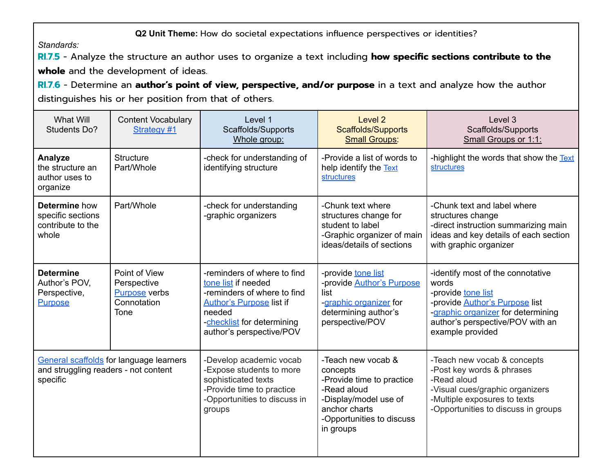**Q2 Unit Theme:** How do societal expectations influence perspectives or identities?

*Standards:*

**RI.7.5** - Analyze the structure an author uses to organize a text including **how specific sections contribute to the whole** and the development of ideas.

**RI.7.6** - Determine an **author's point of view, perspective, and/or purpose** in a text and analyze how the author distinguishes his or her position from that of others.

| What Will<br><b>Students Do?</b>                                                            | <b>Content Vocabulary</b><br>Strategy #1                                    | Level 1<br>Scaffolds/Supports<br>Whole group:                                                                                                                                            | Level <sub>2</sub><br><b>Scaffolds/Supports</b><br><b>Small Groups:</b>                                                                                        | Level 3<br>Scaffolds/Supports<br>Small Groups or 1:1:                                                                                                                                                   |
|---------------------------------------------------------------------------------------------|-----------------------------------------------------------------------------|------------------------------------------------------------------------------------------------------------------------------------------------------------------------------------------|----------------------------------------------------------------------------------------------------------------------------------------------------------------|---------------------------------------------------------------------------------------------------------------------------------------------------------------------------------------------------------|
| Analyze<br>the structure an<br>author uses to<br>organize                                   | <b>Structure</b><br>Part/Whole                                              | -check for understanding of<br>identifying structure                                                                                                                                     | -Provide a list of words to<br>help identify the Text<br>structures                                                                                            | -highlight the words that show the Text<br>structures                                                                                                                                                   |
| Determine how<br>specific sections<br>contribute to the<br>whole                            | Part/Whole                                                                  | -check for understanding<br>-graphic organizers                                                                                                                                          | -Chunk text where<br>structures change for<br>student to label<br>-Graphic organizer of main<br>ideas/details of sections                                      | -Chunk text and label where<br>structures change<br>-direct instruction summarizing main<br>ideas and key details of each section<br>with graphic organizer                                             |
| <b>Determine</b><br>Author's POV,<br>Perspective,<br><b>Purpose</b>                         | Point of View<br>Perspective<br><b>Purpose</b> verbs<br>Connotation<br>Tone | -reminders of where to find<br>tone list if needed<br>-reminders of where to find<br><b>Author's Purpose list if</b><br>needed<br>-checklist for determining<br>author's perspective/POV | -provide tone list<br>-provide <b>Author's Purpose</b><br>list<br>-graphic organizer for<br>determining author's<br>perspective/POV                            | -identify most of the connotative<br>words<br>-provide tone list<br>-provide <b>Author's Purpose</b> list<br>-graphic organizer for determining<br>author's perspective/POV with an<br>example provided |
| General scaffolds for language learners<br>and struggling readers - not content<br>specific |                                                                             | -Develop academic vocab<br>-Expose students to more<br>sophisticated texts<br>-Provide time to practice<br>-Opportunities to discuss in<br>groups                                        | -Teach new vocab &<br>concepts<br>-Provide time to practice<br>-Read aloud<br>-Display/model use of<br>anchor charts<br>-Opportunities to discuss<br>in groups | -Teach new vocab & concepts<br>-Post key words & phrases<br>-Read aloud<br>-Visual cues/graphic organizers<br>-Multiple exposures to texts<br>-Opportunities to discuss in groups                       |